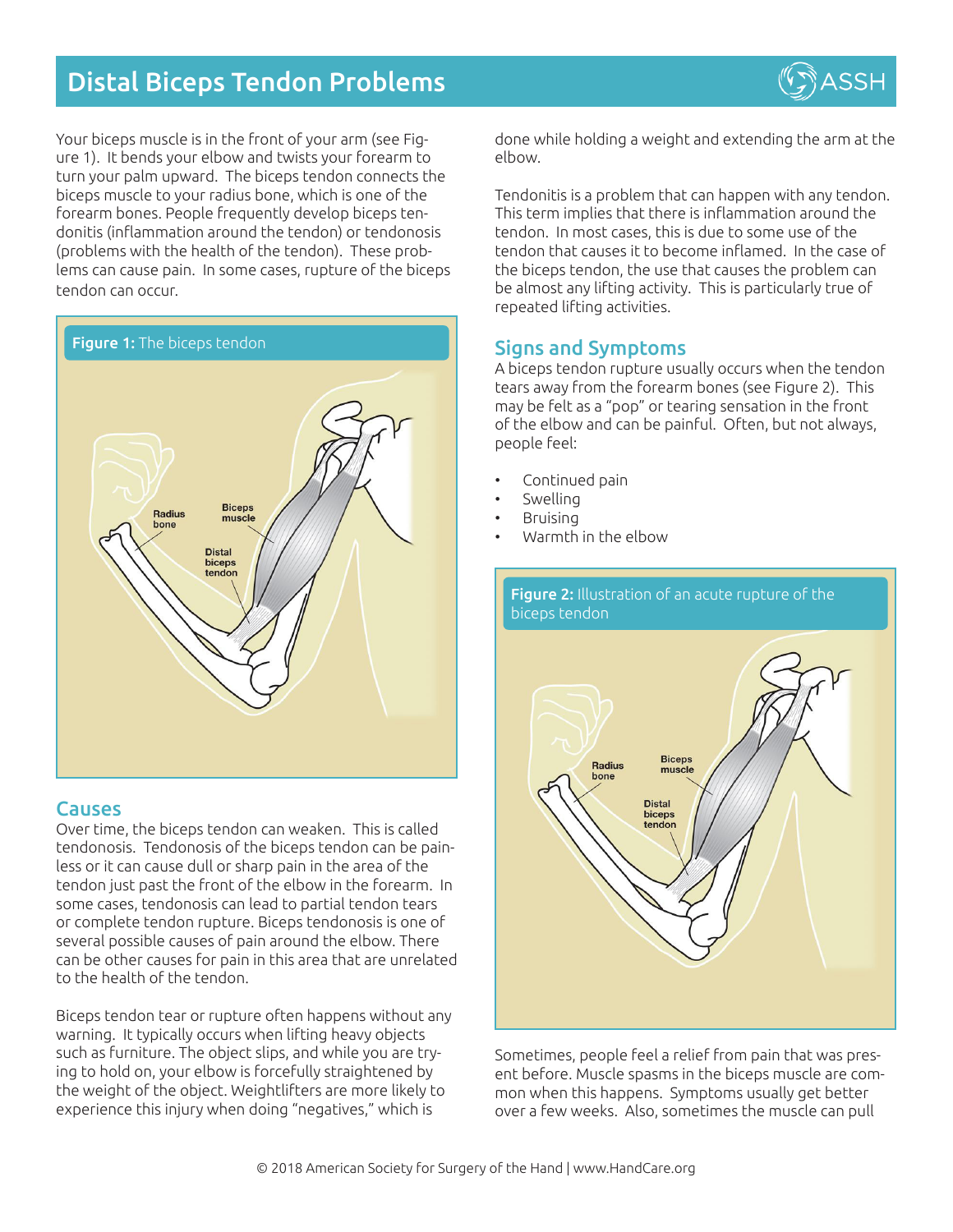

# Distal Biceps Tendon Problems

Your biceps muscle is in the front of your arm (see Figure 1). It bends your elbow and twists your forearm to turn your palm upward. The biceps tendon connects the biceps muscle to your radius bone, which is one of the forearm bones. People frequently develop biceps tendonitis (inflammation around the tendon) or tendonosis (problems with the health of the tendon). These problems can cause pain. In some cases, rupture of the biceps tendon can occur.



### Causes

Over time, the biceps tendon can weaken. This is called tendonosis. Tendonosis of the biceps tendon can be painless or it can cause dull or sharp pain in the area of the tendon just past the front of the elbow in the forearm. In some cases, tendonosis can lead to partial tendon tears or complete tendon rupture. Biceps tendonosis is one of several possible causes of pain around the elbow. There can be other causes for pain in this area that are unrelated to the health of the tendon.

Biceps tendon tear or rupture often happens without any warning. It typically occurs when lifting heavy objects such as furniture. The object slips, and while you are trying to hold on, your elbow is forcefully straightened by the weight of the object. Weightlifters are more likely to experience this injury when doing "negatives," which is

done while holding a weight and extending the arm at the elbow.

Tendonitis is a problem that can happen with any tendon. This term implies that there is inflammation around the tendon. In most cases, this is due to some use of the tendon that causes it to become inflamed. In the case of the biceps tendon, the use that causes the problem can be almost any lifting activity. This is particularly true of repeated lifting activities.

### Signs and Symptoms

A biceps tendon rupture usually occurs when the tendon tears away from the forearm bones (see Figure 2). This may be felt as a "pop" or tearing sensation in the front of the elbow and can be painful. Often, but not always, people feel:

- Continued pain
- **Swelling**
- Bruising
- Warmth in the elbow



Sometimes, people feel a relief from pain that was present before. Muscle spasms in the biceps muscle are common when this happens. Symptoms usually get better over a few weeks. Also, sometimes the muscle can pull